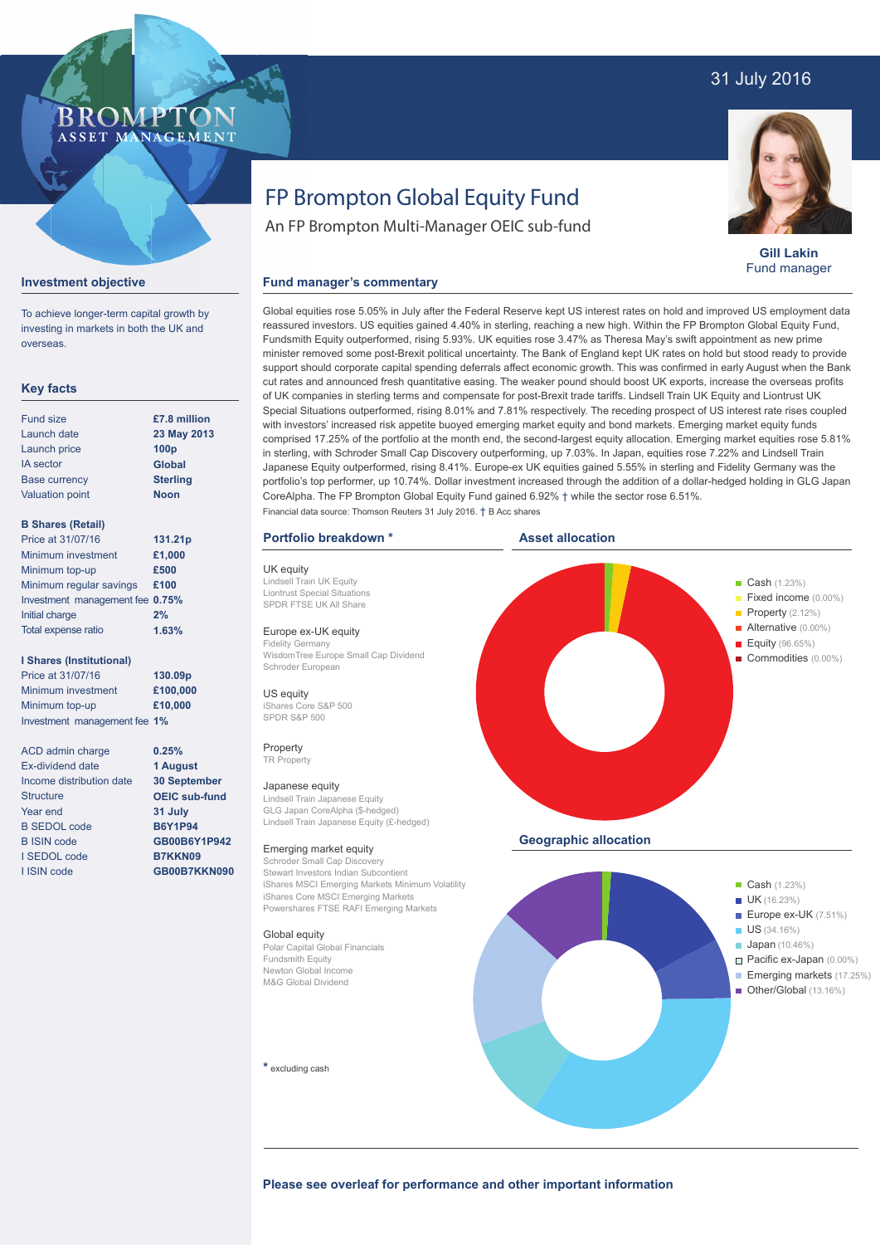# 31 July 2016

# **BROMPTO** ASSET MANAGEMENT

**Gill Lakin** Fund manager

### **Investment objective**

To achieve longer-term capital growth by investing in markets in both the UK and overseas.

# **Key facts**

| <b>Fund size</b>       | £7.8 million     |
|------------------------|------------------|
| Launch date            | 23 May 201:      |
| Launch price           | 100 <sub>p</sub> |
| <b>IA</b> sector       | <b>Global</b>    |
| <b>Base currency</b>   | <b>Sterling</b>  |
| <b>Valuation point</b> | <b>Noon</b>      |
|                        |                  |

**23 May 2013**

# **B Shares (Retail)**

| Price at 31/07/16               | 131.21p |
|---------------------------------|---------|
| Minimum investment              | £1,000  |
| Minimum top-up                  | £500    |
| Minimum regular savings         | £100    |
| Investment management fee 0.75% |         |
| Initial charge                  | 2%      |
| Total expense ratio             | 1.63%   |

#### **I Shares (Institutional)**

Price at 31/07/16 Minimum investment Minimum top-up Investment management fee **1% 130.09p £100,000 £10,000**

> **0.25% 1 August 30 September OEIC sub-fund 31 July B6Y1P94 GB00B6Y1P942 B7KKN09 GB00B7KKN090**

ACD admin charge Ex-dividend date Income distribution date **Structure** Year end B SEDOL code B ISIN code I SEDOL code I ISIN code

# FP Brompton Global Equity Fund

An FP Brompton Multi-Manager OEIC sub-fund

### **Fund manager's commentary**

Global equities rose 5.05% in July after the Federal Reserve kept US interest rates on hold and improved US employment data reassured investors. US equities gained 4.40% in sterling, reaching a new high. Within the FP Brompton Global Equity Fund, Fundsmith Equity outperformed, rising 5.93%. UK equities rose 3.47% as Theresa May's swift appointment as new prime minister removed some post-Brexit political uncertainty. The Bank of England kept UK rates on hold but stood ready to provide support should corporate capital spending deferrals affect economic growth. This was confirmed in early August when the Bank cut rates and announced fresh quantitative easing. The weaker pound should boost UK exports, increase the overseas profits of UK companies in sterling terms and compensate for post-Brexit trade tariffs. Lindsell Train UK Equity and Liontrust UK Special Situations outperformed, rising 8.01% and 7.81% respectively. The receding prospect of US interest rate rises coupled with investors' increased risk appetite buoyed emerging market equity and bond markets. Emerging market equity funds comprised 17.25% of the portfolio at the month end, the second-largest equity allocation. Emerging market equities rose 5.81% in sterling, with Schroder Small Cap Discovery outperforming, up 7.03%. In Japan, equities rose 7.22% and Lindsell Train Japanese Equity outperformed, rising 8.41%. Europe-ex UK equities gained 5.55% in sterling and Fidelity Germany was the portfolio's top performer, up 10.74%. Dollar investment increased through the addition of a dollar-hedged holding in GLG Japan CoreAlpha. The FP Brompton Global Equity Fund gained 6.92% † while the sector rose 6.51%. Financial data source: Thomson Reuters 31 July 2016. † B Acc shares

#### **Portfolio breakdown \***

UK equity Lindsell Train UK Equity Liontrust Special Situations SPDR FTSE UK All Share

# Europe ex-UK equity

Fidelity Germany WisdomTree Europe Small Cap Dividend Schroder European

US equity iShares Core S&P 500 SPDR S&P 500

Property TR Property

#### Japanese equity

Lindsell Train Japanese Equity GLG Japan CoreAlpha (\$-hedged) Lindsell Train Japanese Equity (£-hedged)

#### Emerging market equity

Schroder Small Cap Discovery Stewart Investors Indian Subcontient iShares MSCI Emerging Markets Minimum Volatility iShares Core MSCI Emerging Markets Powershares FTSE RAFI Emerging Markets

#### Global equity

Polar Capital Global Financials Fundsmith Equity Newton Global Income M&G Global Dividend

**\*** excluding cash



Please see overleaf for performance and other important information